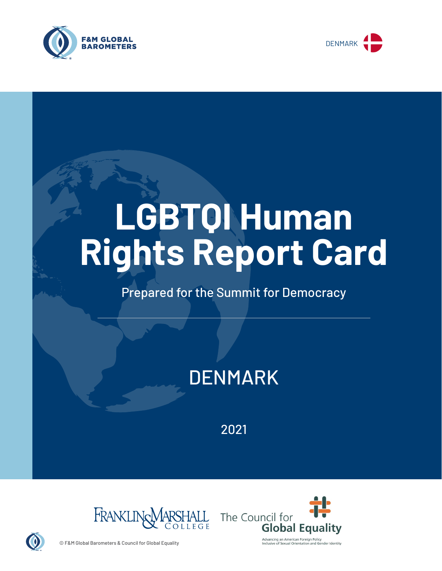



# **LGBTQI Human Rights Report Card**

# Prepared for the Summit for Democracy

# DENMARK

2021





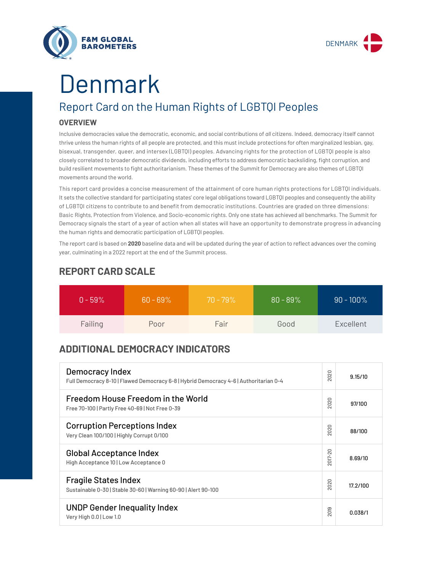



# Denmark

# Report Card on the Human Rights of LGBTQI Peoples

## **OVERVIEW**

Inclusive democracies value the democratic, economic, and social contributions of *all* citizens. Indeed, democracy itself cannot thrive unless the human rights of all people are protected, and this must include protections for often marginalized lesbian, gay, bisexual, transgender, queer, and intersex (LGBTQI) peoples. Advancing rights for the protection of LGBTQI people is also closely correlated to broader democratic dividends, including efforts to address democratic backsliding, fight corruption, and build resilient movements to fight authoritarianism. These themes of the Summit for Democracy are also themes of LGBTQI movements around the world.

This report card provides a concise measurement of the attainment of core human rights protections for LGBTQI individuals. It sets the collective standard for participating states' core legal obligations toward LGBTQI peoples and consequently the ability of LGBTQI citizens to contribute to and benefit from democratic institutions. Countries are graded on three dimensions: Basic Rights, Protection from Violence, and Socio-economic rights. Only one state has achieved all benchmarks. The Summit for Democracy signals the start of a year of action when all states will have an opportunity to demonstrate progress in advancing the human rights and democratic participation of LGBTQI peoples.

The report card is based on **2020** baseline data and will be updated during the year of action to reflect advances over the coming year, culminating in a 2022 report at the end of the Summit process.

| $0 - 59\%$ | $60 - 69\%$ | $70 - 79\%$ | $80 - 89\%$ | $90 - 100\%$ |
|------------|-------------|-------------|-------------|--------------|
| Failing    | Poor        | Fair        | Good        | Excellent    |

# **REPORT CARD SCALE**

# **ADDITIONAL DEMOCRACY INDICATORS**

| Democracy Index<br>Full Democracy 8-10   Flawed Democracy 6-8   Hybrid Democracy 4-6   Authoritarian 0-4 | 2020                   | 9.15/10  |
|----------------------------------------------------------------------------------------------------------|------------------------|----------|
| Freedom House Freedom in the World<br>Free 70-100   Partly Free 40-69   Not Free 0-39                    | 2020                   | 97/100   |
| <b>Corruption Perceptions Index</b><br>Very Clean 100/100   Highly Corrupt 0/100                         | 020<br>$\sim$          | 88/100   |
| <b>Global Acceptance Index</b><br>High Acceptance 10   Low Acceptance 0                                  | 2017-20                | 8.69/10  |
| <b>Fragile States Index</b><br>Sustainable 0-30   Stable 30-60   Warning 60-90   Alert 90-100            | 2020                   | 17.2/100 |
| <b>UNDP Gender Inequality Index</b><br>Very High 0.0   Low 1.0                                           | တ<br>5<br>$\bar{\sim}$ | 0.038/1  |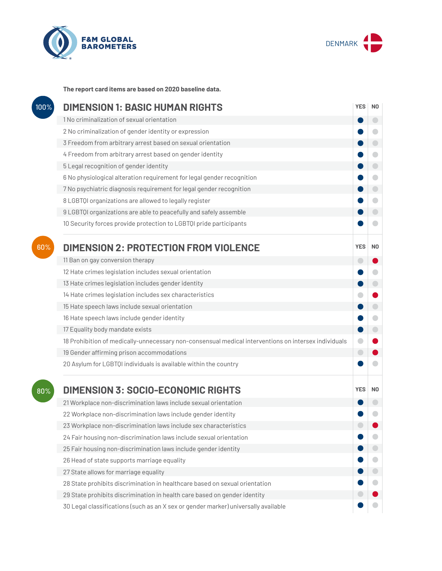



**The report card items are based on 2020 baseline data.**

| 100% | <b>DIMENSION 1: BASIC HUMAN RIGHTS</b>                                                               |            |                          |
|------|------------------------------------------------------------------------------------------------------|------------|--------------------------|
|      | 1 No criminalization of sexual orientation                                                           |            | $\overline{\phantom{0}}$ |
|      | 2 No criminalization of gender identity or expression                                                |            |                          |
|      | 3 Freedom from arbitrary arrest based on sexual orientation                                          |            |                          |
|      | 4 Freedom from arbitrary arrest based on gender identity                                             |            | O                        |
|      | 5 Legal recognition of gender identity                                                               |            | $\bigcirc$               |
|      | 6 No physiological alteration requirement for legal gender recognition                               |            | $\bigcirc$               |
|      | 7 No psychiatric diagnosis requirement for legal gender recognition                                  |            | $\bigcirc$               |
|      | 8 LGBTQI organizations are allowed to legally register                                               |            | O                        |
|      | 9 LGBTQI organizations are able to peacefully and safely assemble                                    |            |                          |
|      | 10 Security forces provide protection to LGBTQI pride participants                                   |            |                          |
| 60%  | <b>DIMENSION 2: PROTECTION FROM VIOLENCE</b>                                                         | <b>YES</b> | N <sub>0</sub>           |
|      | 11 Ban on gay conversion therapy                                                                     | o          |                          |
|      | 12 Hate crimes legislation includes sexual orientation                                               |            |                          |
|      | 13 Hate crimes legislation includes gender identity                                                  |            | $\bigcirc$               |
|      | 14 Hate crimes legislation includes sex characteristics                                              |            |                          |
|      | 15 Hate speech laws include sexual orientation                                                       |            | $\bigcirc$               |
|      | 16 Hate speech laws include gender identity                                                          |            | $\blacksquare$           |
|      | 17 Equality body mandate exists                                                                      |            |                          |
|      | 18 Prohibition of medically-unnecessary non-consensual medical interventions on intersex individuals |            |                          |
|      | 19 Gender affirming prison accommodations                                                            | $\bigcirc$ |                          |
|      | 20 Asylum for LGBTQI individuals is available within the country                                     |            |                          |
| 80%  | <b>DIMENSION 3: SOCIO-ECONOMIC RIGHTS</b>                                                            | <b>YES</b> | N <sub>0</sub>           |
|      | 21 Workplace non-discrimination laws include sexual orientation                                      |            |                          |
|      | 22 Workplace non-discrimination laws include gender identity                                         |            |                          |
|      | 23 Workplace non-discrimination laws include sex characteristics                                     |            |                          |
|      | 24 Fair housing non-discrimination laws include sexual orientation                                   |            |                          |
|      | 25 Fair housing non-discrimination laws include gender identity                                      |            |                          |
|      | 26 Head of state supports marriage equality                                                          |            |                          |
|      | 27 State allows for marriage equality                                                                |            |                          |
|      | 28 State prohibits discrimination in healthcare based on sexual orientation                          |            |                          |
|      | 29 State prohibits discrimination in health care based on gender identity                            |            |                          |
|      | 30 Legal classifications (such as an X sex or gender marker) universally available                   |            |                          |
|      |                                                                                                      |            |                          |